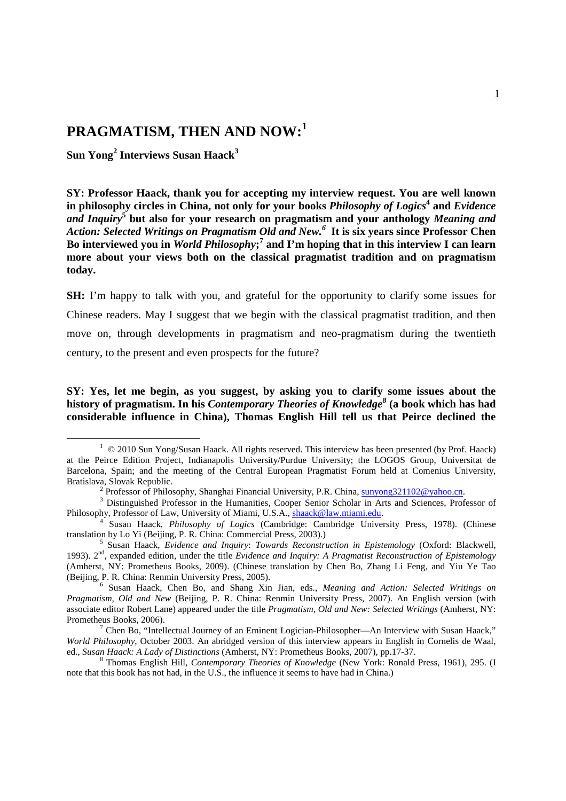# **PRAGMATISM, THEN AND NOW:<sup>1</sup>**

**Sun Yong<sup>2</sup> Interviews Susan Haack<sup>3</sup>**

-

**SY: Professor Haack, thank you for accepting my interview request. You are well known in philosophy circles in China, not only for your books** *Philosophy of Logics***<sup>4</sup> and** *Evidence*  and Inquiry<sup>5</sup> but also for your research on pragmatism and your anthology *Meaning and Action: Selected Writings on Pragmatism Old and New. 6*  **It is six years since Professor Chen**  Bo interviewed you in *World Philosophy*;<sup>7</sup> and I'm hoping that in this interview I can learn **more about your views both on the classical pragmatist tradition and on pragmatism today.** 

**SH:** I'm happy to talk with you, and grateful for the opportunity to clarify some issues for Chinese readers. May I suggest that we begin with the classical pragmatist tradition, and then move on, through developments in pragmatism and neo-pragmatism during the twentieth century, to the present and even prospects for the future?

**SY: Yes, let me begin, as you suggest, by asking you to clarify some issues about the history of pragmatism. In his** *Contemporary Theories of Knowledge<sup>8</sup>*  **(a book which has had considerable influence in China), Thomas English Hill tell us that Peirce declined the** 

<sup>&</sup>lt;sup>1</sup> © 2010 Sun Yong/Susan Haack. All rights reserved. This interview has been presented (by Prof. Haack) at the Peirce Edition Project, Indianapolis University/Purdue University; the LOGOS Group, Universitat de Barcelona, Spain; and the meeting of the Central European Pragmatist Forum held at Comenius University, Bratislava, Slovak Republic.

<sup>&</sup>lt;sup>2</sup> Professor of Philosophy, Shanghai Financial University, P.R. China, sunyong321102@yahoo.cn.

<sup>&</sup>lt;sup>3</sup> Distinguished Professor in the Humanities, Cooper Senior Scholar in Arts and Sciences, Professor of Philosophy, Professor of Law, University of Miami, U.S.A., shaack@law.miami.edu.

<sup>4</sup> Susan Haack, *Philosophy of Logics* (Cambridge: Cambridge University Press, 1978). (Chinese translation by Lo Yi (Beijing, P. R. China: Commercial Press, 2003).)

<sup>5</sup> Susan Haack, *Evidence and Inquiry*: *Towards Reconstruction in Epistemology* (Oxford: Blackwell, 1993). 2<sup>nd</sup>, expanded edition, under the title *Evidence and Inquiry: A Pragmatist Reconstruction of Epistemology* (Amherst, NY: Prometheus Books, 2009). (Chinese translation by Chen Bo, Zhang Li Feng, and Yiu Ye Tao (Beijing, P. R. China: Renmin University Press, 2005).

<sup>6</sup> Susan Haack, Chen Bo, and Shang Xin Jian, eds., *Meaning and Action: Selected Writings on Pragmatism, Old and New* (Beijing, P. R. China: Renmin University Press, 2007). An English version (with associate editor Robert Lane) appeared under the title *Pragmatism, Old and New: Selected Writings* (Amherst, NY: Prometheus Books, 2006).

<sup>&</sup>lt;sup>7</sup> Chen Bo, "Intellectual Journey of an Eminent Logician-Philosopher—An Interview with Susan Haack," *World Philosophy*, October 2003. An abridged version of this interview appears in English in Cornelis de Waal, ed., *Susan Haack: A Lady of Distinctions* (Amherst, NY: Prometheus Books, 2007), pp.17-37.

<sup>8</sup> Thomas English Hill, *Contemporary Theories of Knowledge* (New York: Ronald Press, 1961), 295. (I note that this book has not had, in the U.S., the influence it seems to have had in China.)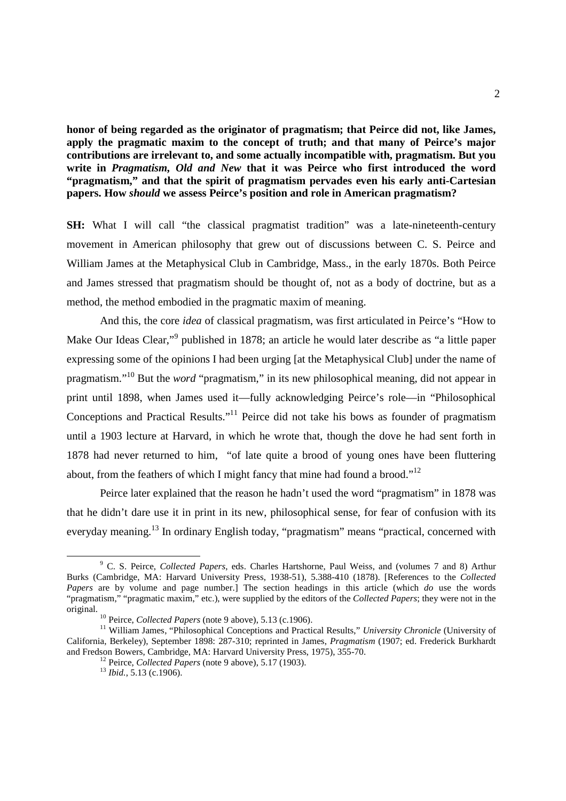**honor of being regarded as the originator of pragmatism; that Peirce did not, like James, apply the pragmatic maxim to the concept of truth; and that many of Peirce's major contributions are irrelevant to, and some actually incompatible with, pragmatism. But you write in** *Pragmatism, Old and New* **that it was Peirce who first introduced the word "pragmatism," and that the spirit of pragmatism pervades even his early anti-Cartesian papers. How** *should* **we assess Peirce's position and role in American pragmatism?** 

**SH:** What I will call "the classical pragmatist tradition" was a late-nineteenth-century movement in American philosophy that grew out of discussions between C. S. Peirce and William James at the Metaphysical Club in Cambridge, Mass., in the early 1870s. Both Peirce and James stressed that pragmatism should be thought of, not as a body of doctrine, but as a method, the method embodied in the pragmatic maxim of meaning.

 And this, the core *idea* of classical pragmatism, was first articulated in Peirce's "How to Make Our Ideas Clear,"<sup>9</sup> published in 1878; an article he would later describe as "a little paper expressing some of the opinions I had been urging [at the Metaphysical Club] under the name of pragmatism."<sup>10</sup> But the *word* "pragmatism," in its new philosophical meaning, did not appear in print until 1898, when James used it—fully acknowledging Peirce's role—in "Philosophical Conceptions and Practical Results."<sup>11</sup> Peirce did not take his bows as founder of pragmatism until a 1903 lecture at Harvard, in which he wrote that, though the dove he had sent forth in 1878 had never returned to him, "of late quite a brood of young ones have been fluttering about, from the feathers of which I might fancy that mine had found a brood."<sup>12</sup>

 Peirce later explained that the reason he hadn't used the word "pragmatism" in 1878 was that he didn't dare use it in print in its new, philosophical sense, for fear of confusion with its everyday meaning.<sup>13</sup> In ordinary English today, "pragmatism" means "practical, concerned with

<u>.</u>

<sup>9</sup> C. S. Peirce, *Collected Papers*, eds. Charles Hartshorne, Paul Weiss, and (volumes 7 and 8) Arthur Burks (Cambridge, MA: Harvard University Press, 1938-51), 5.388-410 (1878). [References to the *Collected Papers* are by volume and page number.] The section headings in this article (which *do* use the words "pragmatism," "pragmatic maxim," etc.), were supplied by the editors of the *Collected Papers*; they were not in the original.

<sup>&</sup>lt;sup>10</sup> Peirce, *Collected Papers* (note 9 above), 5.13 (c.1906).

<sup>&</sup>lt;sup>11</sup> William James, "Philosophical Conceptions and Practical Results," *University Chronicle* (University of California, Berkeley), September 1898: 287-310; reprinted in James, *Pragmatism* (1907; ed. Frederick Burkhardt and Fredson Bowers, Cambridge, MA: Harvard University Press, 1975), 355-70.

<sup>12</sup> Peirce, *Collected Papers* (note 9 above), 5.17 (1903).

<sup>13</sup> *Ibid.*, 5.13 (c.1906).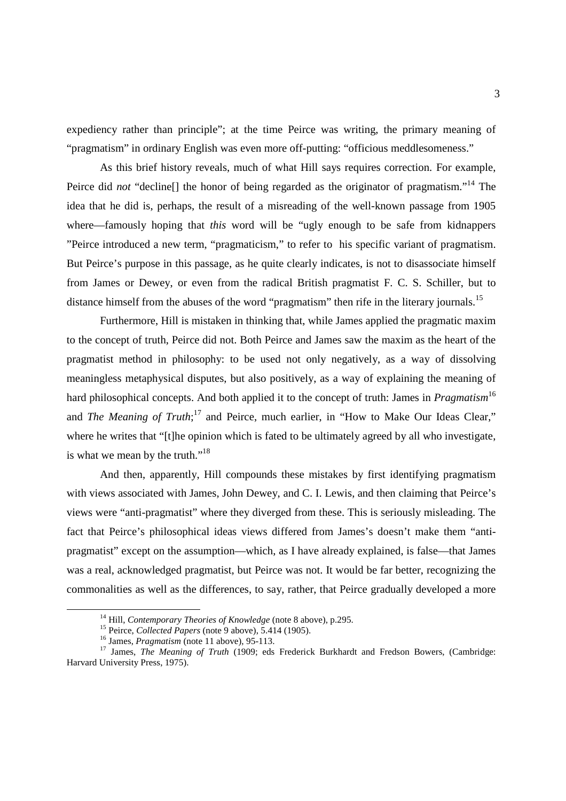expediency rather than principle"; at the time Peirce was writing, the primary meaning of "pragmatism" in ordinary English was even more off-putting: "officious meddlesomeness."

 As this brief history reveals, much of what Hill says requires correction. For example, Peirce did *not* "decline<sup>[]</sup> the honor of being regarded as the originator of pragmatism."<sup>14</sup> The idea that he did is, perhaps, the result of a misreading of the well-known passage from 1905 where—famously hoping that *this* word will be "ugly enough to be safe from kidnappers "Peirce introduced a new term, "pragmaticism," to refer to his specific variant of pragmatism. But Peirce's purpose in this passage, as he quite clearly indicates, is not to disassociate himself from James or Dewey, or even from the radical British pragmatist F. C. S. Schiller, but to distance himself from the abuses of the word "pragmatism" then rife in the literary journals.<sup>15</sup>

 Furthermore, Hill is mistaken in thinking that, while James applied the pragmatic maxim to the concept of truth, Peirce did not. Both Peirce and James saw the maxim as the heart of the pragmatist method in philosophy: to be used not only negatively, as a way of dissolving meaningless metaphysical disputes, but also positively, as a way of explaining the meaning of hard philosophical concepts. And both applied it to the concept of truth: James in *Pragmatism*<sup>16</sup> and *The Meaning of Truth*;<sup>17</sup> and Peirce, much earlier, in "How to Make Our Ideas Clear," where he writes that "[t]he opinion which is fated to be ultimately agreed by all who investigate, is what we mean by the truth."<sup>18</sup>

 And then, apparently, Hill compounds these mistakes by first identifying pragmatism with views associated with James, John Dewey, and C. I. Lewis, and then claiming that Peirce's views were "anti-pragmatist" where they diverged from these. This is seriously misleading. The fact that Peirce's philosophical ideas views differed from James's doesn't make them "antipragmatist" except on the assumption—which, as I have already explained, is false—that James was a real, acknowledged pragmatist, but Peirce was not. It would be far better, recognizing the commonalities as well as the differences, to say, rather, that Peirce gradually developed a more

<sup>&</sup>lt;sup>14</sup> Hill, *Contemporary Theories of Knowledge* (note 8 above), p.295.

<sup>15</sup> Peirce, *Collected Papers* (note 9 above), 5.414 (1905).

<sup>16</sup> James, *Pragmatism* (note 11 above), 95-113.

<sup>&</sup>lt;sup>17</sup> James, *The Meaning of Truth* (1909; eds Frederick Burkhardt and Fredson Bowers, (Cambridge: Harvard University Press, 1975).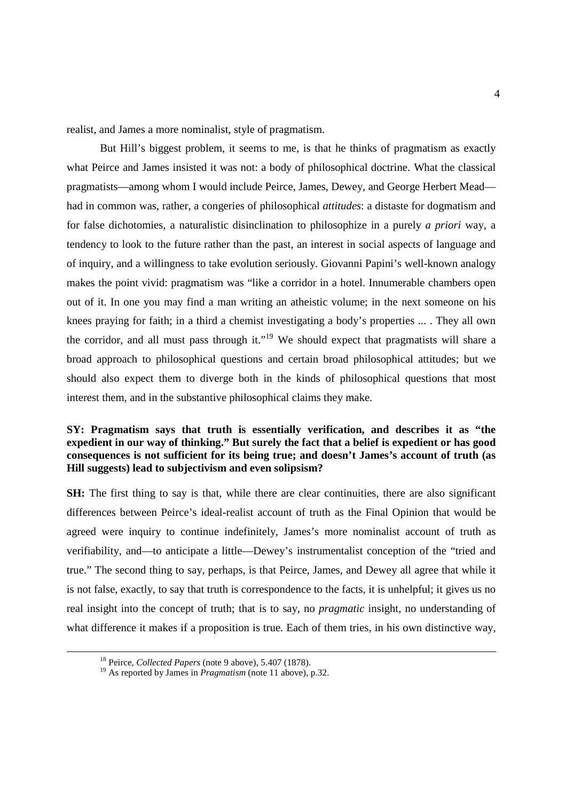realist, and James a more nominalist, style of pragmatism.

 But Hill's biggest problem, it seems to me, is that he thinks of pragmatism as exactly what Peirce and James insisted it was not: a body of philosophical doctrine. What the classical pragmatists—among whom I would include Peirce, James, Dewey, and George Herbert Mead had in common was, rather, a congeries of philosophical *attitudes*: a distaste for dogmatism and for false dichotomies, a naturalistic disinclination to philosophize in a purely *a priori* way, a tendency to look to the future rather than the past, an interest in social aspects of language and of inquiry, and a willingness to take evolution seriously. Giovanni Papini's well-known analogy makes the point vivid: pragmatism was "like a corridor in a hotel. Innumerable chambers open out of it. In one you may find a man writing an atheistic volume; in the next someone on his knees praying for faith; in a third a chemist investigating a body's properties ... . They all own the corridor, and all must pass through it."<sup>19</sup> We should expect that pragmatists will share a broad approach to philosophical questions and certain broad philosophical attitudes; but we should also expect them to diverge both in the kinds of philosophical questions that most interest them, and in the substantive philosophical claims they make.

### **SY: Pragmatism says that truth is essentially verification, and describes it as "the expedient in our way of thinking." But surely the fact that a belief is expedient or has good consequences is not sufficient for its being true; and doesn't James's account of truth (as Hill suggests) lead to subjectivism and even solipsism?**

**SH:** The first thing to say is that, while there are clear continuities, there are also significant differences between Peirce's ideal-realist account of truth as the Final Opinion that would be agreed were inquiry to continue indefinitely, James's more nominalist account of truth as verifiability, and—to anticipate a little—Dewey's instrumentalist conception of the "tried and true." The second thing to say, perhaps, is that Peirce, James, and Dewey all agree that while it is not false, exactly, to say that truth is correspondence to the facts, it is unhelpful; it gives us no real insight into the concept of truth; that is to say, no *pragmatic* insight, no understanding of what difference it makes if a proposition is true. Each of them tries, in his own distinctive way,

<sup>18</sup> Peirce, *Collected Papers* (note 9 above), 5.407 (1878).

<sup>19</sup> As reported by James in *Pragmatism* (note 11 above), p.32.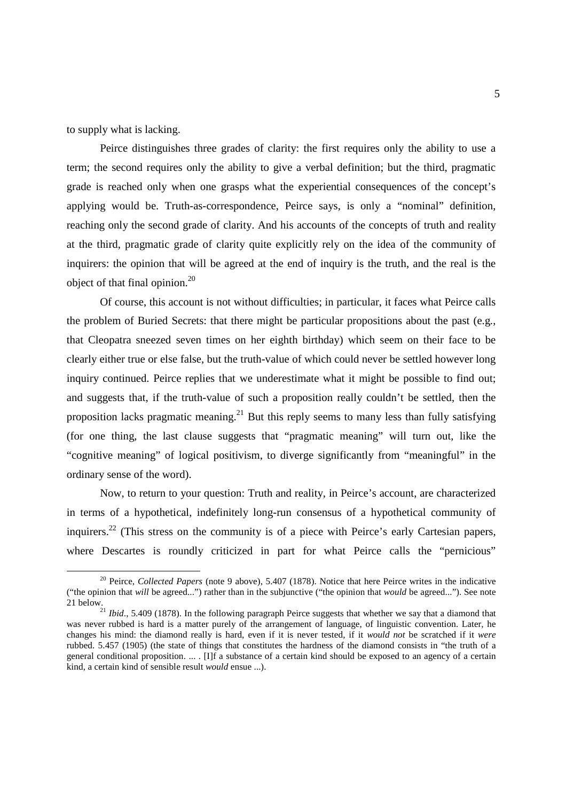to supply what is lacking.

-

 Peirce distinguishes three grades of clarity: the first requires only the ability to use a term; the second requires only the ability to give a verbal definition; but the third, pragmatic grade is reached only when one grasps what the experiential consequences of the concept's applying would be. Truth-as-correspondence, Peirce says, is only a "nominal" definition, reaching only the second grade of clarity. And his accounts of the concepts of truth and reality at the third, pragmatic grade of clarity quite explicitly rely on the idea of the community of inquirers: the opinion that will be agreed at the end of inquiry is the truth, and the real is the object of that final opinion. $^{20}$ 

 Of course, this account is not without difficulties; in particular, it faces what Peirce calls the problem of Buried Secrets: that there might be particular propositions about the past (e.g., that Cleopatra sneezed seven times on her eighth birthday) which seem on their face to be clearly either true or else false, but the truth-value of which could never be settled however long inquiry continued. Peirce replies that we underestimate what it might be possible to find out; and suggests that, if the truth-value of such a proposition really couldn't be settled, then the proposition lacks pragmatic meaning.<sup>21</sup> But this reply seems to many less than fully satisfying (for one thing, the last clause suggests that "pragmatic meaning" will turn out, like the "cognitive meaning" of logical positivism, to diverge significantly from "meaningful" in the ordinary sense of the word).

 Now, to return to your question: Truth and reality, in Peirce's account, are characterized in terms of a hypothetical, indefinitely long-run consensus of a hypothetical community of inquirers.<sup>22</sup> (This stress on the community is of a piece with Peirce's early Cartesian papers, where Descartes is roundly criticized in part for what Peirce calls the "pernicious"

<sup>20</sup> Peirce, *Collected Papers* (note 9 above), 5.407 (1878). Notice that here Peirce writes in the indicative ("the opinion that *will* be agreed...") rather than in the subjunctive ("the opinion that *would* be agreed..."). See note 21 below.

<sup>&</sup>lt;sup>21</sup> *Ibid.*, 5.409 (1878). In the following paragraph Peirce suggests that whether we say that a diamond that was never rubbed is hard is a matter purely of the arrangement of language, of linguistic convention. Later, he changes his mind: the diamond really is hard, even if it is never tested, if it *would not* be scratched if it *were* rubbed. 5.457 (1905) (the state of things that constitutes the hardness of the diamond consists in "the truth of a general conditional proposition.  $\dots$ . IIIf a substance of a certain kind should be exposed to an agency of a certain kind, a certain kind of sensible result *would* ensue ...).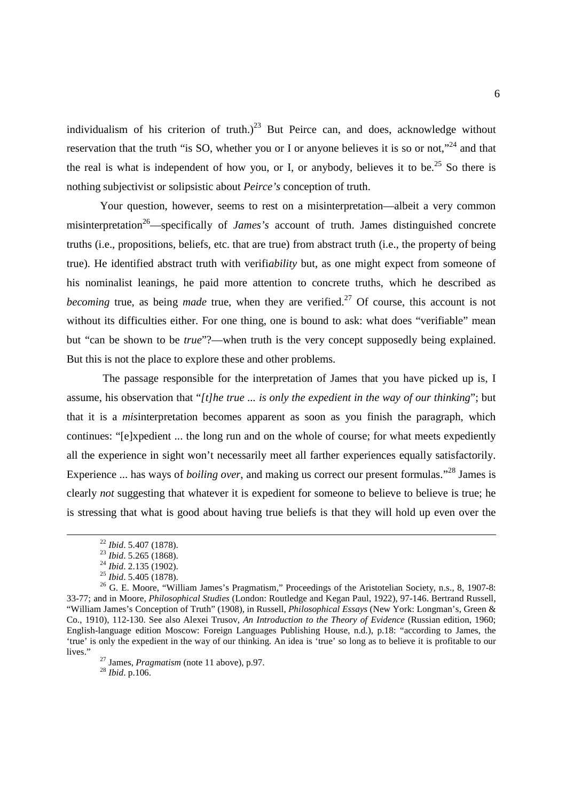individualism of his criterion of truth.)<sup>23</sup> But Peirce can, and does, acknowledge without reservation that the truth "is SO, whether you or I or anyone believes it is so or not."<sup>24</sup> and that the real is what is independent of how you, or I, or anybody, believes it to be.<sup>25</sup> So there is nothing subjectivist or solipsistic about *Peirce's* conception of truth.

 Your question, however, seems to rest on a misinterpretation—albeit a very common misinterpretation<sup>26</sup>—specifically of *James's* account of truth. James distinguished concrete truths (i.e., propositions, beliefs, etc. that are true) from abstract truth (i.e., the property of being true). He identified abstract truth with verifi*ability* but, as one might expect from someone of his nominalist leanings, he paid more attention to concrete truths, which he described as *becoming* true, as being *made* true, when they are verified.<sup>27</sup> Of course, this account is not without its difficulties either. For one thing, one is bound to ask: what does "verifiable" mean but "can be shown to be *true*"?—when truth is the very concept supposedly being explained. But this is not the place to explore these and other problems.

 The passage responsible for the interpretation of James that you have picked up is, I assume, his observation that "*[t]he true ... is only the expedient in the way of our thinking*"; but that it is a *mis*interpretation becomes apparent as soon as you finish the paragraph, which continues: "[e]xpedient ... the long run and on the whole of course; for what meets expediently all the experience in sight won't necessarily meet all farther experiences equally satisfactorily. Experience ... has ways of *boiling over*, and making us correct our present formulas."<sup>28</sup> James is clearly *not* suggesting that whatever it is expedient for someone to believe to believe is true; he is stressing that what is good about having true beliefs is that they will hold up even over the

-

<sup>28</sup> *Ibid*. p.106.

<sup>22</sup> *Ibid*. 5.407 (1878).

<sup>23</sup> *Ibid*. 5.265 (1868).

<sup>24</sup> *Ibid*. 2.135 (1902).

<sup>25</sup> *Ibid*. 5.405 (1878).

 $26$  G. E. Moore, "William James's Pragmatism," Proceedings of the Aristotelian Society, n.s., 8, 1907-8: 33-77; and in Moore, *Philosophical Studies* (London: Routledge and Kegan Paul, 1922), 97-146. Bertrand Russell, "William James's Conception of Truth" (1908), in Russell, *Philosophical Essays* (New York: Longman's, Green & Co., 1910), 112-130. See also Alexei Trusov, *An Introduction to the Theory of Evidence* (Russian edition, 1960; English-language edition Moscow: Foreign Languages Publishing House, n.d.), p.18: "according to James, the 'true' is only the expedient in the way of our thinking. An idea is 'true' so long as to believe it is profitable to our lives."

<sup>27</sup> James, *Pragmatism* (note 11 above), p.97.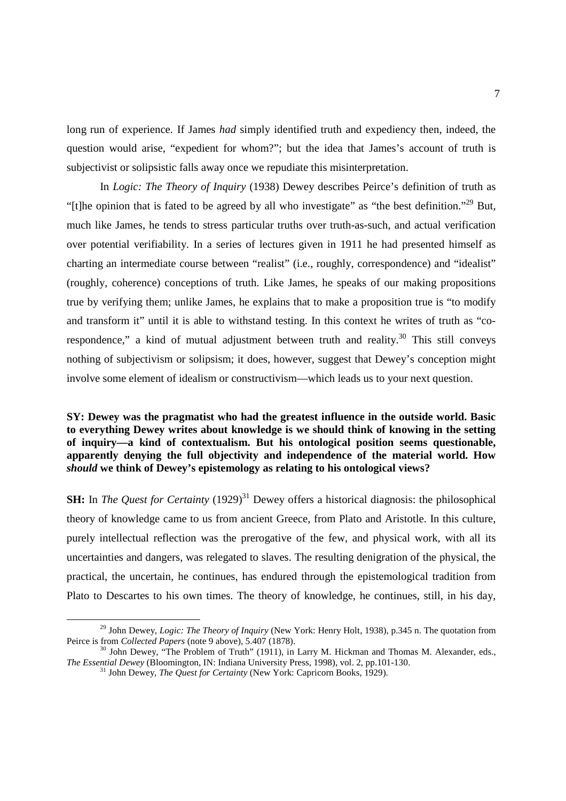long run of experience. If James *had* simply identified truth and expediency then, indeed, the question would arise, "expedient for whom?"; but the idea that James's account of truth is subjectivist or solipsistic falls away once we repudiate this misinterpretation.

 In *Logic: The Theory of Inquiry* (1938) Dewey describes Peirce's definition of truth as "[t]he opinion that is fated to be agreed by all who investigate" as "the best definition."<sup>29</sup> But, much like James, he tends to stress particular truths over truth-as-such, and actual verification over potential verifiability. In a series of lectures given in 1911 he had presented himself as charting an intermediate course between "realist" (i.e., roughly, correspondence) and "idealist" (roughly, coherence) conceptions of truth. Like James, he speaks of our making propositions true by verifying them; unlike James, he explains that to make a proposition true is "to modify and transform it" until it is able to withstand testing. In this context he writes of truth as "corespondence," a kind of mutual adjustment between truth and reality. $30$  This still conveys nothing of subjectivism or solipsism; it does, however, suggest that Dewey's conception might involve some element of idealism or constructivism—which leads us to your next question.

**SY: Dewey was the pragmatist who had the greatest influence in the outside world. Basic to everything Dewey writes about knowledge is we should think of knowing in the setting of inquiry—a kind of contextualism. But his ontological position seems questionable, apparently denying the full objectivity and independence of the material world. How**  *should* **we think of Dewey's epistemology as relating to his ontological views?** 

**SH:** In *The Quest for Certainty* (1929)<sup>31</sup> Dewey offers a historical diagnosis: the philosophical theory of knowledge came to us from ancient Greece, from Plato and Aristotle. In this culture, purely intellectual reflection was the prerogative of the few, and physical work, with all its uncertainties and dangers, was relegated to slaves. The resulting denigration of the physical, the practical, the uncertain, he continues, has endured through the epistemological tradition from Plato to Descartes to his own times. The theory of knowledge, he continues, still, in his day,

<sup>29</sup> John Dewey, *Logic: The Theory of Inquiry* (New York: Henry Holt, 1938), p.345 n. The quotation from Peirce is from *Collected Papers* (note 9 above), 5.407 (1878).

<sup>&</sup>lt;sup>30</sup> John Dewey, "The Problem of Truth" (1911), in Larry M. Hickman and Thomas M. Alexander, eds., *The Essential Dewey* (Bloomington, IN: Indiana University Press, 1998), vol. 2, pp.101-130.

<sup>&</sup>lt;sup>31</sup> John Dewey, *The Quest for Certainty* (New York: Capricorn Books, 1929).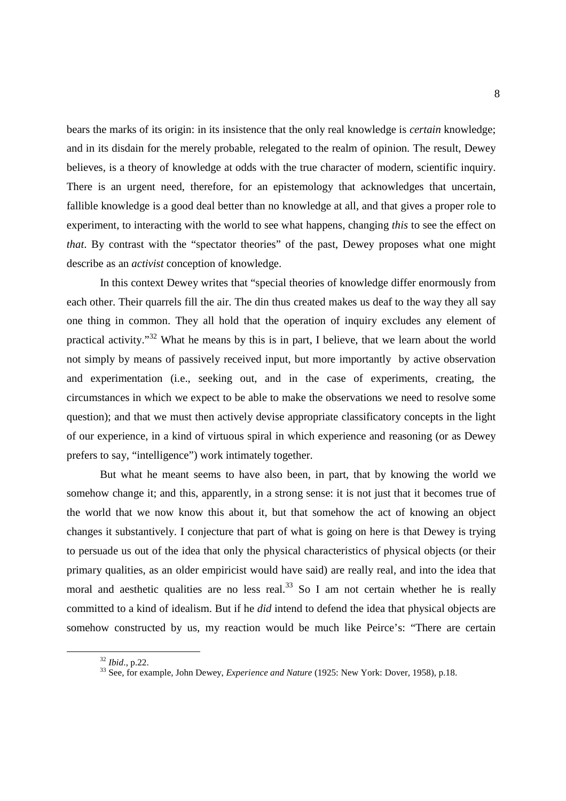bears the marks of its origin: in its insistence that the only real knowledge is *certain* knowledge; and in its disdain for the merely probable, relegated to the realm of opinion. The result, Dewey believes, is a theory of knowledge at odds with the true character of modern, scientific inquiry. There is an urgent need, therefore, for an epistemology that acknowledges that uncertain, fallible knowledge is a good deal better than no knowledge at all, and that gives a proper role to experiment, to interacting with the world to see what happens, changing *this* to see the effect on *that*. By contrast with the "spectator theories" of the past, Dewey proposes what one might describe as an *activist* conception of knowledge.

 In this context Dewey writes that "special theories of knowledge differ enormously from each other. Their quarrels fill the air. The din thus created makes us deaf to the way they all say one thing in common. They all hold that the operation of inquiry excludes any element of practical activity."<sup>32</sup> What he means by this is in part, I believe, that we learn about the world not simply by means of passively received input, but more importantly by active observation and experimentation (i.e., seeking out, and in the case of experiments, creating, the circumstances in which we expect to be able to make the observations we need to resolve some question); and that we must then actively devise appropriate classificatory concepts in the light of our experience, in a kind of virtuous spiral in which experience and reasoning (or as Dewey prefers to say, "intelligence") work intimately together.

 But what he meant seems to have also been, in part, that by knowing the world we somehow change it; and this, apparently, in a strong sense: it is not just that it becomes true of the world that we now know this about it, but that somehow the act of knowing an object changes it substantively. I conjecture that part of what is going on here is that Dewey is trying to persuade us out of the idea that only the physical characteristics of physical objects (or their primary qualities, as an older empiricist would have said) are really real, and into the idea that moral and aesthetic qualities are no less real.<sup>33</sup> So I am not certain whether he is really committed to a kind of idealism. But if he *did* intend to defend the idea that physical objects are somehow constructed by us, my reaction would be much like Peirce's: "There are certain

<sup>32</sup> *Ibid*., p.22.

<sup>33</sup> See, for example, John Dewey, *Experience and Nature* (1925: New York: Dover, 1958), p.18.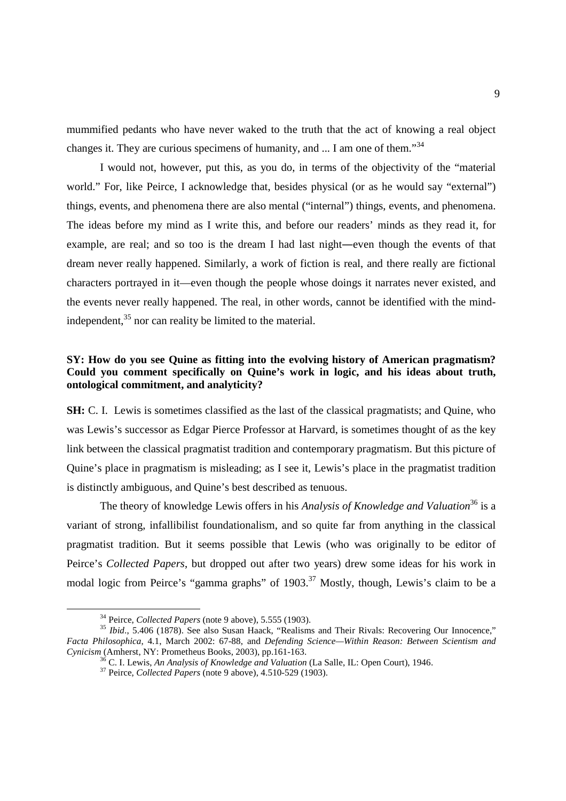mummified pedants who have never waked to the truth that the act of knowing a real object changes it. They are curious specimens of humanity, and ... I am one of them.<sup>34</sup>

 I would not, however, put this, as you do, in terms of the objectivity of the "material world." For, like Peirce, I acknowledge that, besides physical (or as he would say "external") things, events, and phenomena there are also mental ("internal") things, events, and phenomena. The ideas before my mind as I write this, and before our readers' minds as they read it, for example, are real; and so too is the dream I had last night―even though the events of that dream never really happened. Similarly, a work of fiction is real, and there really are fictional characters portrayed in it—even though the people whose doings it narrates never existed, and the events never really happened. The real, in other words, cannot be identified with the mindindependent,<sup>35</sup> nor can reality be limited to the material.

## **SY: How do you see Quine as fitting into the evolving history of American pragmatism? Could you comment specifically on Quine's work in logic, and his ideas about truth, ontological commitment, and analyticity?**

**SH:** C. I. Lewis is sometimes classified as the last of the classical pragmatists; and Quine, who was Lewis's successor as Edgar Pierce Professor at Harvard, is sometimes thought of as the key link between the classical pragmatist tradition and contemporary pragmatism. But this picture of Quine's place in pragmatism is misleading; as I see it, Lewis's place in the pragmatist tradition is distinctly ambiguous, and Quine's best described as tenuous.

The theory of knowledge Lewis offers in his *Analysis of Knowledge and Valuation*<sup>36</sup> is a variant of strong, infallibilist foundationalism, and so quite far from anything in the classical pragmatist tradition. But it seems possible that Lewis (who was originally to be editor of Peirce's *Collected Papers*, but dropped out after two years) drew some ideas for his work in modal logic from Peirce's "gamma graphs" of 1903.<sup>37</sup> Mostly, though, Lewis's claim to be a

-

<sup>36</sup> C. I. Lewis, *An Analysis of Knowledge and Valuation* (La Salle, IL: Open Court), 1946.

<sup>34</sup> Peirce, *Collected Papers* (note 9 above), 5.555 (1903).

<sup>35</sup> *Ibid*., 5.406 (1878). See also Susan Haack, "Realisms and Their Rivals: Recovering Our Innocence," *Facta Philosophica*, 4.1, March 2002: 67-88, and *Defending Science—Within Reason: Between Scientism and Cynicism* (Amherst, NY: Prometheus Books, 2003), pp.161-163.

<sup>37</sup> Peirce, *Collected Papers* (note 9 above), 4.510-529 (1903).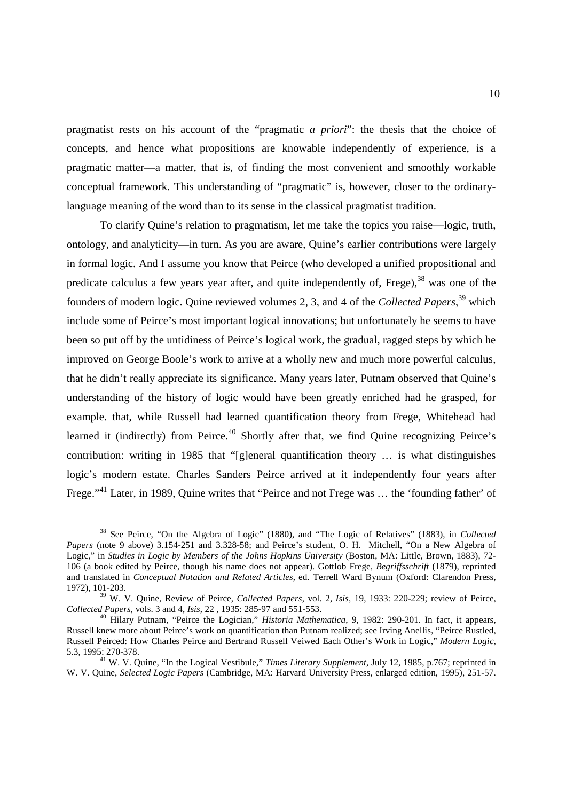pragmatist rests on his account of the "pragmatic *a priori*": the thesis that the choice of concepts, and hence what propositions are knowable independently of experience, is a pragmatic matter—a matter, that is, of finding the most convenient and smoothly workable conceptual framework. This understanding of "pragmatic" is, however, closer to the ordinarylanguage meaning of the word than to its sense in the classical pragmatist tradition.

 To clarify Quine's relation to pragmatism, let me take the topics you raise—logic, truth, ontology, and analyticity—in turn. As you are aware, Quine's earlier contributions were largely in formal logic. And I assume you know that Peirce (who developed a unified propositional and predicate calculus a few years year after, and quite independently of, Frege),<sup>38</sup> was one of the founders of modern logic. Quine reviewed volumes 2, 3, and 4 of the *Collected Papers*, <sup>39</sup> which include some of Peirce's most important logical innovations; but unfortunately he seems to have been so put off by the untidiness of Peirce's logical work, the gradual, ragged steps by which he improved on George Boole's work to arrive at a wholly new and much more powerful calculus, that he didn't really appreciate its significance. Many years later, Putnam observed that Quine's understanding of the history of logic would have been greatly enriched had he grasped, for example. that, while Russell had learned quantification theory from Frege, Whitehead had learned it (indirectly) from Peirce.<sup>40</sup> Shortly after that, we find Quine recognizing Peirce's contribution: writing in 1985 that "[g]eneral quantification theory … is what distinguishes logic's modern estate. Charles Sanders Peirce arrived at it independently four years after Frege."<sup>41</sup> Later, in 1989, Quine writes that "Peirce and not Frege was … the 'founding father' of

<sup>38</sup> See Peirce, "On the Algebra of Logic" (1880), and "The Logic of Relatives" (1883), in *Collected Papers* (note 9 above) 3.154-251 and 3.328-58; and Peirce's student, O. H. Mitchell, "On a New Algebra of Logic," in *Studies in Logic by Members of the Johns Hopkins University* (Boston, MA: Little, Brown, 1883), 72- 106 (a book edited by Peirce, though his name does not appear). Gottlob Frege, *Begriffsschrift* (1879), reprinted and translated in *Conceptual Notation and Related Articles*, ed. Terrell Ward Bynum (Oxford: Clarendon Press, 1972), 101-203.

<sup>39</sup> W. V. Quine, Review of Peirce, *Collected Papers*, vol. 2, *Isis*, 19, 1933: 220-229; review of Peirce, *Collected Papers*, vols. 3 and 4, *Isis*, 22 , 1935: 285-97 and 551-553.

<sup>40</sup> Hilary Putnam, "Peirce the Logician," *Historia Mathematica*, 9, 1982: 290-201. In fact, it appears, Russell knew more about Peirce's work on quantification than Putnam realized; see Irving Anellis, "Peirce Rustled, Russell Peirced: How Charles Peirce and Bertrand Russell Veiwed Each Other's Work in Logic," *Modern Logic*, 5.3, 1995: 270-378.

<sup>41</sup> W. V. Quine, "In the Logical Vestibule," *Times Literary Supplement*, July 12, 1985, p.767; reprinted in W. V. Quine, *Selected Logic Papers* (Cambridge, MA: Harvard University Press, enlarged edition, 1995), 251-57.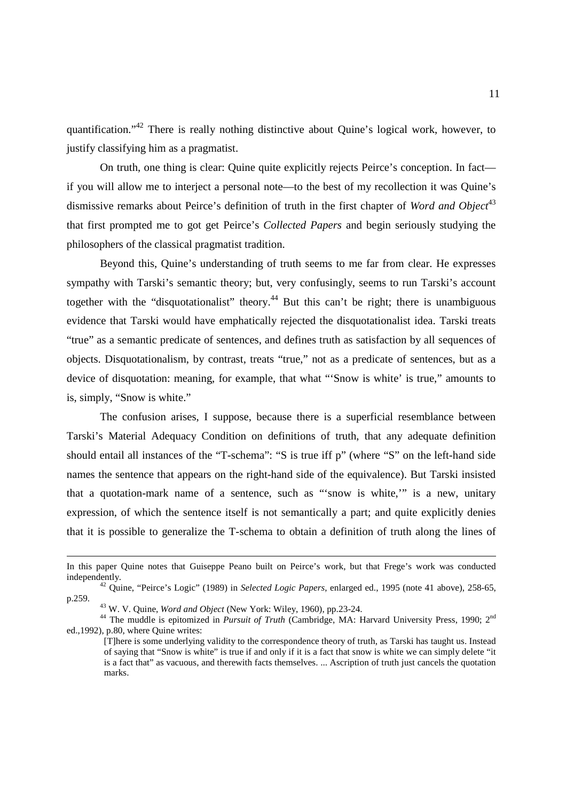quantification."<sup>42</sup> There is really nothing distinctive about Quine's logical work, however, to justify classifying him as a pragmatist.

 On truth, one thing is clear: Quine quite explicitly rejects Peirce's conception. In fact if you will allow me to interject a personal note—to the best of my recollection it was Quine's dismissive remarks about Peirce's definition of truth in the first chapter of *Word and Object*<sup>43</sup> that first prompted me to got get Peirce's *Collected Papers* and begin seriously studying the philosophers of the classical pragmatist tradition.

 Beyond this, Quine's understanding of truth seems to me far from clear. He expresses sympathy with Tarski's semantic theory; but, very confusingly, seems to run Tarski's account together with the "disquotationalist" theory.<sup>44</sup> But this can't be right; there is unambiguous evidence that Tarski would have emphatically rejected the disquotationalist idea. Tarski treats "true" as a semantic predicate of sentences, and defines truth as satisfaction by all sequences of objects. Disquotationalism, by contrast, treats "true," not as a predicate of sentences, but as a device of disquotation: meaning, for example, that what "'Snow is white' is true," amounts to is, simply, "Snow is white."

 The confusion arises, I suppose, because there is a superficial resemblance between Tarski's Material Adequacy Condition on definitions of truth, that any adequate definition should entail all instances of the "T-schema": "S is true iff p" (where "S" on the left-hand side names the sentence that appears on the right-hand side of the equivalence). But Tarski insisted that a quotation-mark name of a sentence, such as "'snow is white,'" is a new, unitary expression, of which the sentence itself is not semantically a part; and quite explicitly denies that it is possible to generalize the T-schema to obtain a definition of truth along the lines of

<u>.</u>

In this paper Quine notes that Guiseppe Peano built on Peirce's work, but that Frege's work was conducted independently.

<sup>42</sup> Quine, "Peirce's Logic" (1989) in *Selected Logic Papers*, enlarged ed., 1995 (note 41 above), 258-65, p.259.

<sup>43</sup> W. V. Quine, *Word and Object* (New York: Wiley, 1960), pp.23-24.

<sup>&</sup>lt;sup>44</sup> The muddle is epitomized in *Pursuit of Truth* (Cambridge, MA: Harvard University Press, 1990; 2<sup>nd</sup> ed.,1992), p.80, where Quine writes:

<sup>[</sup>T]here is some underlying validity to the correspondence theory of truth, as Tarski has taught us. Instead of saying that "Snow is white" is true if and only if it is a fact that snow is white we can simply delete "it is a fact that" as vacuous, and therewith facts themselves. ... Ascription of truth just cancels the quotation marks.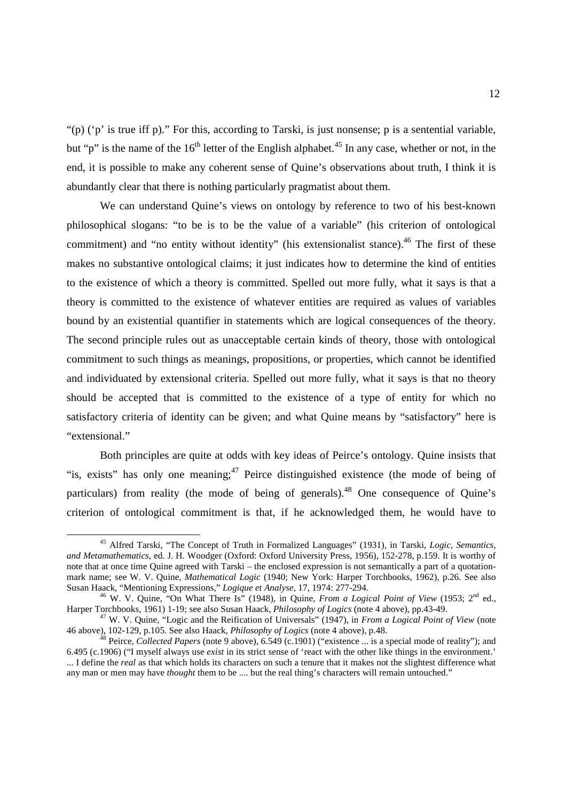"(p) ('p' is true iff p)." For this, according to Tarski, is just nonsense; p is a sentential variable, but "p" is the name of the  $16<sup>th</sup>$  letter of the English alphabet.<sup>45</sup> In any case, whether or not, in the end, it is possible to make any coherent sense of Quine's observations about truth, I think it is abundantly clear that there is nothing particularly pragmatist about them.

 We can understand Quine's views on ontology by reference to two of his best-known philosophical slogans: "to be is to be the value of a variable" (his criterion of ontological commitment) and "no entity without identity" (his extensionalist stance).<sup>46</sup> The first of these makes no substantive ontological claims; it just indicates how to determine the kind of entities to the existence of which a theory is committed. Spelled out more fully, what it says is that a theory is committed to the existence of whatever entities are required as values of variables bound by an existential quantifier in statements which are logical consequences of the theory. The second principle rules out as unacceptable certain kinds of theory, those with ontological commitment to such things as meanings, propositions, or properties, which cannot be identified and individuated by extensional criteria. Spelled out more fully, what it says is that no theory should be accepted that is committed to the existence of a type of entity for which no satisfactory criteria of identity can be given; and what Quine means by "satisfactory" here is "extensional."

 Both principles are quite at odds with key ideas of Peirce's ontology. Quine insists that "is, exists" has only one meaning;  $47$  Peirce distinguished existence (the mode of being of particulars) from reality (the mode of being of generals).<sup>48</sup> One consequence of Quine's criterion of ontological commitment is that, if he acknowledged them, he would have to

<sup>45</sup> Alfred Tarski, "The Concept of Truth in Formalized Languages" (1931), in Tarski, *Logic, Semantics, and Metamathematics*, ed. J. H. Woodger (Oxford: Oxford University Press, 1956), 152-278, p.159. It is worthy of note that at once time Quine agreed with Tarski – the enclosed expression is not semantically a part of a quotationmark name; see W. V. Quine, *Mathematical Logic* (1940; New York: Harper Torchbooks, 1962), p.26. See also Susan Haack, "Mentioning Expressions," *Logique et Analyse*, 17, 1974: 277-294.

<sup>46</sup> W. V. Quine, "On What There Is" (1948), in Quine, *From a Logical Point of View* (1953; 2nd ed., Harper Torchbooks, 1961) 1-19; see also Susan Haack, *Philosophy of Logics* (note 4 above), pp.43-49.

<sup>47</sup> W. V. Quine, "Logic and the Reification of Universals" (1947), in *From a Logical Point of View* (note 46 above), 102-129, p.105. See also Haack, *Philosophy of Logics* (note 4 above), p.48.

<sup>48</sup> Peirce, *Collected Papers* (note 9 above), 6.549 (c.1901) ("existence ... is a special mode of reality"); and 6.495 (c.1906) ("I myself always use *exist* in its strict sense of 'react with the other like things in the environment.' ... I define the *real* as that which holds its characters on such a tenure that it makes not the slightest difference what any man or men may have *thought* them to be .... but the real thing's characters will remain untouched."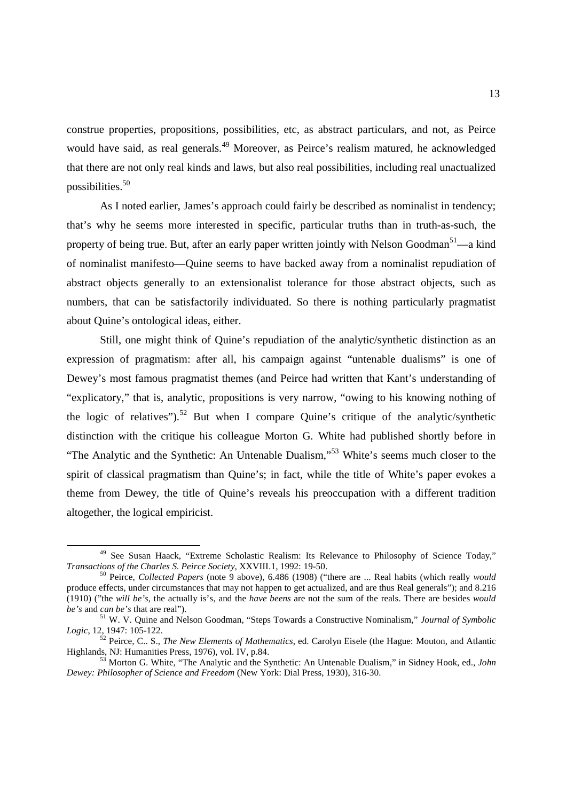construe properties, propositions, possibilities, etc, as abstract particulars, and not, as Peirce would have said, as real generals.<sup>49</sup> Moreover, as Peirce's realism matured, he acknowledged that there are not only real kinds and laws, but also real possibilities, including real unactualized possibilities.<sup>50</sup>

 As I noted earlier, James's approach could fairly be described as nominalist in tendency; that's why he seems more interested in specific, particular truths than in truth-as-such, the property of being true. But, after an early paper written jointly with Nelson Goodman<sup>51</sup>—a kind of nominalist manifesto—Quine seems to have backed away from a nominalist repudiation of abstract objects generally to an extensionalist tolerance for those abstract objects, such as numbers, that can be satisfactorily individuated. So there is nothing particularly pragmatist about Quine's ontological ideas, either.

 Still, one might think of Quine's repudiation of the analytic/synthetic distinction as an expression of pragmatism: after all, his campaign against "untenable dualisms" is one of Dewey's most famous pragmatist themes (and Peirce had written that Kant's understanding of "explicatory," that is, analytic, propositions is very narrow, "owing to his knowing nothing of the logic of relatives").<sup>52</sup> But when I compare Ouine's critique of the analytic/synthetic distinction with the critique his colleague Morton G. White had published shortly before in "The Analytic and the Synthetic: An Untenable Dualism,"<sup>53</sup> White's seems much closer to the spirit of classical pragmatism than Quine's; in fact, while the title of White's paper evokes a theme from Dewey, the title of Quine's reveals his preoccupation with a different tradition altogether, the logical empiricist.

<sup>&</sup>lt;sup>49</sup> See Susan Haack, "Extreme Scholastic Realism: Its Relevance to Philosophy of Science Today," *Transactions of the Charles S. Peirce Society*, XXVIII.1, 1992: 19-50.

<sup>50</sup> Peirce, *Collected Papers* (note 9 above), 6.486 (1908) ("there are ... Real habits (which really *would* produce effects, under circumstances that may not happen to get actualized, and are thus Real generals"); and 8.216 (1910) ("the *will be's*, the actually is's, and the *have beens* are not the sum of the reals. There are besides *would be's* and *can be's* that are real").

<sup>51</sup> W. V. Quine and Nelson Goodman, "Steps Towards a Constructive Nominalism," *Journal of Symbolic Logic*, 12, 1947: 105-122.

<sup>52</sup> Peirce, C.. S., *The New Elements of Mathematics*, ed. Carolyn Eisele (the Hague: Mouton, and Atlantic Highlands, NJ: Humanities Press, 1976), vol. IV, p.84.

<sup>53</sup> Morton G. White, "The Analytic and the Synthetic: An Untenable Dualism," in Sidney Hook, ed., *John Dewey: Philosopher of Science and Freedom* (New York: Dial Press, 1930), 316-30.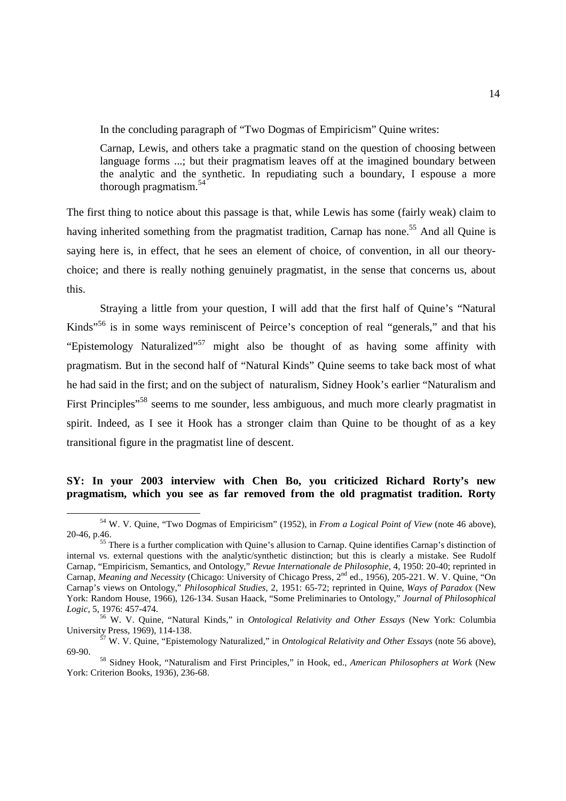In the concluding paragraph of "Two Dogmas of Empiricism" Quine writes:

Carnap, Lewis, and others take a pragmatic stand on the question of choosing between language forms ...; but their pragmatism leaves off at the imagined boundary between the analytic and the synthetic. In repudiating such a boundary, I espouse a more thorough pragmatism.<sup>54</sup>

The first thing to notice about this passage is that, while Lewis has some (fairly weak) claim to having inherited something from the pragmatist tradition, Carnap has none.<sup>55</sup> And all Quine is saying here is, in effect, that he sees an element of choice, of convention, in all our theorychoice; and there is really nothing genuinely pragmatist, in the sense that concerns us, about this.

 Straying a little from your question, I will add that the first half of Quine's "Natural Kinds"<sup>56</sup> is in some ways reminiscent of Peirce's conception of real "generals," and that his "Epistemology Naturalized"<sup>57</sup> might also be thought of as having some affinity with pragmatism. But in the second half of "Natural Kinds" Quine seems to take back most of what he had said in the first; and on the subject of naturalism, Sidney Hook's earlier "Naturalism and First Principles<sup>"58</sup> seems to me sounder, less ambiguous, and much more clearly pragmatist in spirit. Indeed, as I see it Hook has a stronger claim than Quine to be thought of as a key transitional figure in the pragmatist line of descent.

### **SY: In your 2003 interview with Chen Bo, you criticized Richard Rorty's new pragmatism, which you see as far removed from the old pragmatist tradition. Rorty**

<sup>54</sup> W. V. Quine, "Two Dogmas of Empiricism" (1952), in *From a Logical Point of View* (note 46 above), 20-46, p.46.

<sup>&</sup>lt;sup>55</sup> There is a further complication with Quine's allusion to Carnap. Quine identifies Carnap's distinction of internal vs. external questions with the analytic/synthetic distinction; but this is clearly a mistake. See Rudolf Carnap, "Empiricism, Semantics, and Ontology," *Revue Internationale de Philosophie*, 4, 1950: 20-40; reprinted in Carnap, Meaning and Necessity (Chicago: University of Chicago Press, 2<sup>nd</sup> ed., 1956), 205-221. W. V. Quine, "On Carnap's views on Ontology," *Philosophical Studies*, 2, 1951: 65-72; reprinted in Quine, *Ways of Paradox* (New York: Random House, 1966), 126-134. Susan Haack, "Some Preliminaries to Ontology," *Journal of Philosophical Logic*, 5, 1976: 457-474.

<sup>56</sup> W. V. Quine, "Natural Kinds," in *Ontological Relativity and Other Essays* (New York: Columbia University Press, 1969), 114-138.

<sup>57</sup> W. V. Quine, "Epistemology Naturalized," in *Ontological Relativity and Other Essays* (note 56 above), 69-90.

<sup>58</sup> Sidney Hook, "Naturalism and First Principles," in Hook, ed., *American Philosophers at Work* (New York: Criterion Books, 1936), 236-68.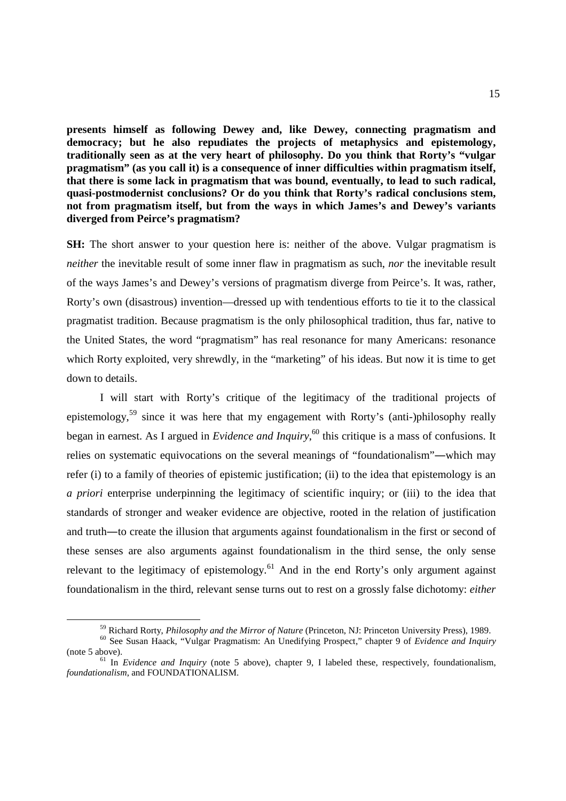**presents himself as following Dewey and, like Dewey, connecting pragmatism and democracy; but he also repudiates the projects of metaphysics and epistemology, traditionally seen as at the very heart of philosophy. Do you think that Rorty's "vulgar pragmatism" (as you call it) is a consequence of inner difficulties within pragmatism itself, that there is some lack in pragmatism that was bound, eventually, to lead to such radical, quasi-postmodernist conclusions? Or do you think that Rorty's radical conclusions stem, not from pragmatism itself, but from the ways in which James's and Dewey's variants diverged from Peirce's pragmatism?** 

**SH:** The short answer to your question here is: neither of the above. Vulgar pragmatism is *neither* the inevitable result of some inner flaw in pragmatism as such, *nor* the inevitable result of the ways James's and Dewey's versions of pragmatism diverge from Peirce's. It was, rather, Rorty's own (disastrous) invention—dressed up with tendentious efforts to tie it to the classical pragmatist tradition. Because pragmatism is the only philosophical tradition, thus far, native to the United States, the word "pragmatism" has real resonance for many Americans: resonance which Rorty exploited, very shrewdly, in the "marketing" of his ideas. But now it is time to get down to details.

 I will start with Rorty's critique of the legitimacy of the traditional projects of epistemology,<sup>59</sup> since it was here that my engagement with Rorty's (anti-)philosophy really began in earnest. As I argued in *Evidence and Inquiry*, <sup>60</sup> this critique is a mass of confusions. It relies on systematic equivocations on the several meanings of "foundationalism"―which may refer (i) to a family of theories of epistemic justification; (ii) to the idea that epistemology is an *a priori* enterprise underpinning the legitimacy of scientific inquiry; or (iii) to the idea that standards of stronger and weaker evidence are objective, rooted in the relation of justification and truth―to create the illusion that arguments against foundationalism in the first or second of these senses are also arguments against foundationalism in the third sense, the only sense relevant to the legitimacy of epistemology.<sup>61</sup> And in the end Rorty's only argument against foundationalism in the third, relevant sense turns out to rest on a grossly false dichotomy: *either*

<sup>59</sup> Richard Rorty, *Philosophy and the Mirror of Nature* (Princeton, NJ: Princeton University Press), 1989.

<sup>60</sup> See Susan Haack, "Vulgar Pragmatism: An Unedifying Prospect," chapter 9 of *Evidence and Inquiry*  (note 5 above).

<sup>&</sup>lt;sup>61</sup> In *Evidence and Inquiry* (note 5 above), chapter 9, I labeled these, respectively, foundationalism, *foundationalism*, and FOUNDATIONALISM.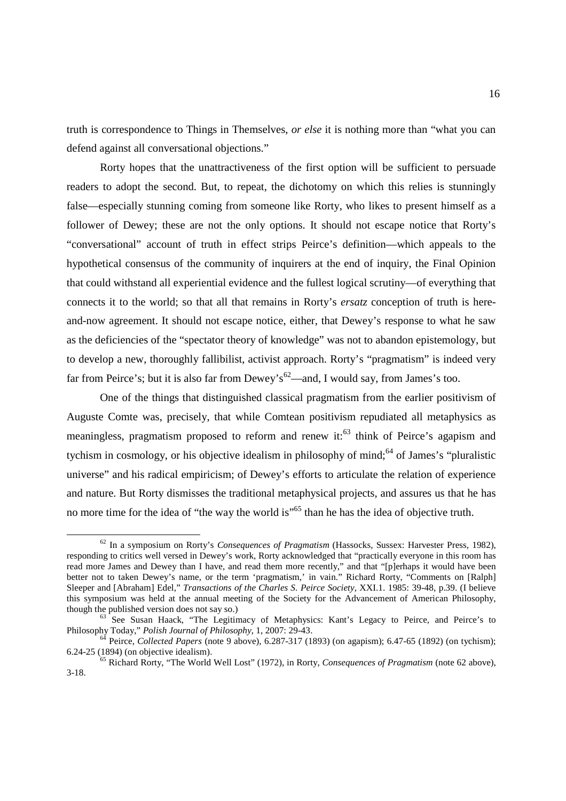truth is correspondence to Things in Themselves, *or else* it is nothing more than "what you can defend against all conversational objections."

 Rorty hopes that the unattractiveness of the first option will be sufficient to persuade readers to adopt the second. But, to repeat, the dichotomy on which this relies is stunningly false—especially stunning coming from someone like Rorty, who likes to present himself as a follower of Dewey; these are not the only options. It should not escape notice that Rorty's "conversational" account of truth in effect strips Peirce's definition—which appeals to the hypothetical consensus of the community of inquirers at the end of inquiry, the Final Opinion that could withstand all experiential evidence and the fullest logical scrutiny—of everything that connects it to the world; so that all that remains in Rorty's *ersatz* conception of truth is hereand-now agreement. It should not escape notice, either, that Dewey's response to what he saw as the deficiencies of the "spectator theory of knowledge" was not to abandon epistemology, but to develop a new, thoroughly fallibilist, activist approach. Rorty's "pragmatism" is indeed very far from Peirce's; but it is also far from Dewey's<sup>62</sup>—and, I would say, from James's too.

 One of the things that distinguished classical pragmatism from the earlier positivism of Auguste Comte was, precisely, that while Comtean positivism repudiated all metaphysics as meaningless, pragmatism proposed to reform and renew it: $63$  think of Peirce's agapism and tychism in cosmology, or his objective idealism in philosophy of mind;<sup>64</sup> of James's "pluralistic" universe" and his radical empiricism; of Dewey's efforts to articulate the relation of experience and nature. But Rorty dismisses the traditional metaphysical projects, and assures us that he has no more time for the idea of "the way the world is"<sup>65</sup> than he has the idea of objective truth.

<sup>62</sup> In a symposium on Rorty's *Consequences of Pragmatism* (Hassocks, Sussex: Harvester Press, 1982), responding to critics well versed in Dewey's work, Rorty acknowledged that "practically everyone in this room has read more James and Dewey than I have, and read them more recently," and that "[p]erhaps it would have been read more James and Dewey than I have, and read them more recently," better not to taken Dewey's name, or the term 'pragmatism,' in vain." Richard Rorty, "Comments on [Ralph] Sleeper and [Abraham] Edel," *Transactions of the Charles S. Peirce Society*, XXI.1. 1985: 39-48, p.39. (I believe this symposium was held at the annual meeting of the Society for the Advancement of American Philosophy, though the published version does not say so.)

See Susan Haack, "The Legitimacy of Metaphysics: Kant's Legacy to Peirce, and Peirce's to Philosophy Today," *Polish Journal of Philosophy*, 1, 2007: 29-43.

<sup>64</sup> Peirce, *Collected Papers* (note 9 above), 6.287-317 (1893) (on agapism); 6.47-65 (1892) (on tychism); 6.24-25 (1894) (on objective idealism).

<sup>65</sup> Richard Rorty, "The World Well Lost" (1972), in Rorty, *Consequences of Pragmatism* (note 62 above), 3-18.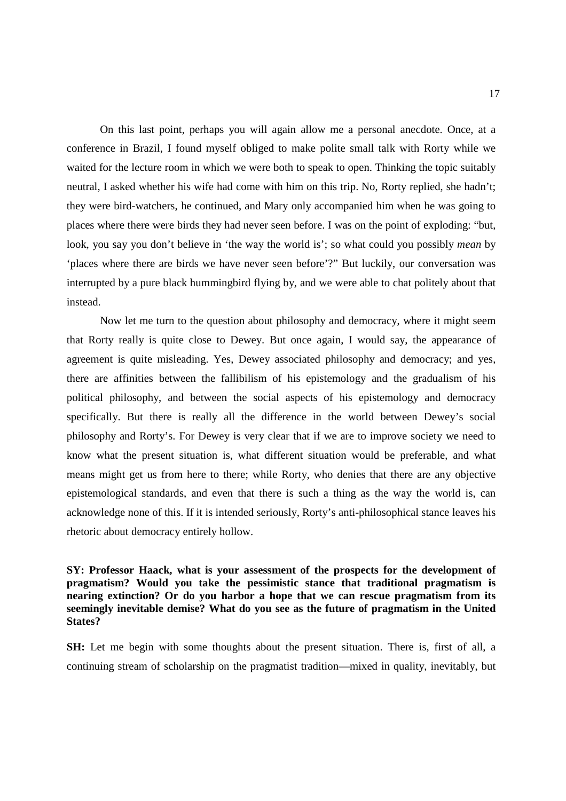On this last point, perhaps you will again allow me a personal anecdote. Once, at a conference in Brazil, I found myself obliged to make polite small talk with Rorty while we waited for the lecture room in which we were both to speak to open. Thinking the topic suitably neutral, I asked whether his wife had come with him on this trip. No, Rorty replied, she hadn't; they were bird-watchers, he continued, and Mary only accompanied him when he was going to places where there were birds they had never seen before. I was on the point of exploding: "but, look, you say you don't believe in 'the way the world is'; so what could you possibly *mean* by 'places where there are birds we have never seen before'?" But luckily, our conversation was interrupted by a pure black hummingbird flying by, and we were able to chat politely about that instead.

 Now let me turn to the question about philosophy and democracy, where it might seem that Rorty really is quite close to Dewey. But once again, I would say, the appearance of agreement is quite misleading. Yes, Dewey associated philosophy and democracy; and yes, there are affinities between the fallibilism of his epistemology and the gradualism of his political philosophy, and between the social aspects of his epistemology and democracy specifically. But there is really all the difference in the world between Dewey's social philosophy and Rorty's. For Dewey is very clear that if we are to improve society we need to know what the present situation is, what different situation would be preferable, and what means might get us from here to there; while Rorty, who denies that there are any objective epistemological standards, and even that there is such a thing as the way the world is, can acknowledge none of this. If it is intended seriously, Rorty's anti-philosophical stance leaves his rhetoric about democracy entirely hollow.

## **SY: Professor Haack, what is your assessment of the prospects for the development of pragmatism? Would you take the pessimistic stance that traditional pragmatism is nearing extinction? Or do you harbor a hope that we can rescue pragmatism from its seemingly inevitable demise? What do you see as the future of pragmatism in the United States?**

**SH:** Let me begin with some thoughts about the present situation. There is, first of all, a continuing stream of scholarship on the pragmatist tradition—mixed in quality, inevitably, but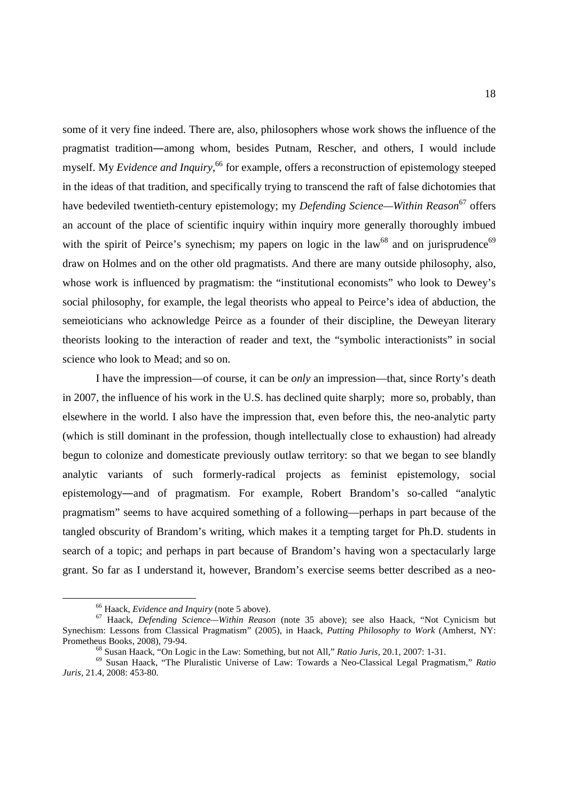some of it very fine indeed. There are, also, philosophers whose work shows the influence of the pragmatist tradition―among whom, besides Putnam, Rescher, and others, I would include myself. My *Evidence and Inquiry*, <sup>66</sup> for example, offers a reconstruction of epistemology steeped in the ideas of that tradition, and specifically trying to transcend the raft of false dichotomies that have bedeviled twentieth-century epistemology; my *Defending Science—Within Reason*<sup>67</sup> offers an account of the place of scientific inquiry within inquiry more generally thoroughly imbued with the spirit of Peirce's synechism; my papers on logic in the law<sup>68</sup> and on jurisprudence<sup>69</sup> draw on Holmes and on the other old pragmatists. And there are many outside philosophy, also, whose work is influenced by pragmatism: the "institutional economists" who look to Dewey's social philosophy, for example, the legal theorists who appeal to Peirce's idea of abduction, the semeioticians who acknowledge Peirce as a founder of their discipline, the Deweyan literary theorists looking to the interaction of reader and text, the "symbolic interactionists" in social science who look to Mead; and so on.

 I have the impression—of course, it can be *only* an impression—that, since Rorty's death in 2007, the influence of his work in the U.S. has declined quite sharply; more so, probably, than elsewhere in the world. I also have the impression that, even before this, the neo-analytic party (which is still dominant in the profession, though intellectually close to exhaustion) had already begun to colonize and domesticate previously outlaw territory: so that we began to see blandly analytic variants of such formerly-radical projects as feminist epistemology, social epistemology―and of pragmatism. For example, Robert Brandom's so-called "analytic pragmatism" seems to have acquired something of a following—perhaps in part because of the tangled obscurity of Brandom's writing, which makes it a tempting target for Ph.D. students in search of a topic; and perhaps in part because of Brandom's having won a spectacularly large grant. So far as I understand it, however, Brandom's exercise seems better described as a neo-

l

<sup>66</sup> Haack, *Evidence and Inquiry* (note 5 above).

<sup>67</sup> Haack, *Defending Science—Within Reason* (note 35 above); see also Haack, "Not Cynicism but Synechism: Lessons from Classical Pragmatism" (2005), in Haack, *Putting Philosophy to Work* (Amherst, NY: Prometheus Books, 2008), 79-94.

<sup>68</sup> Susan Haack, "On Logic in the Law: Something, but not All," *Ratio Juris*, 20.1, 2007: 1-31.

<sup>69</sup> Susan Haack, "The Pluralistic Universe of Law: Towards a Neo-Classical Legal Pragmatism," *Ratio Juris*, 21.4, 2008: 453-80.